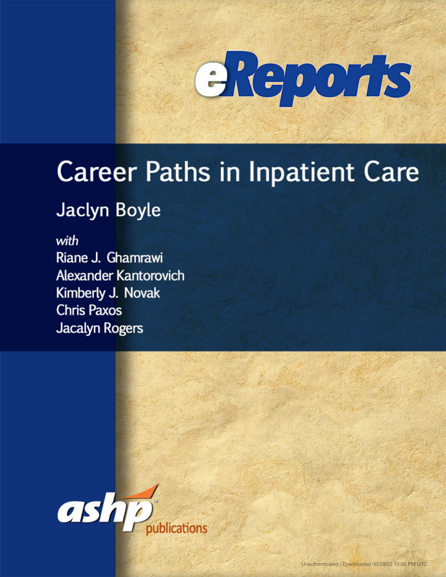

# **Career Paths in Inpatient Care**

### **Jaclyn Boyle**

with Riane J. Ghamrawi **Alexander Kantorovich** Kimberly J. Novak **Chris Paxos Jacalyn Rogers** 

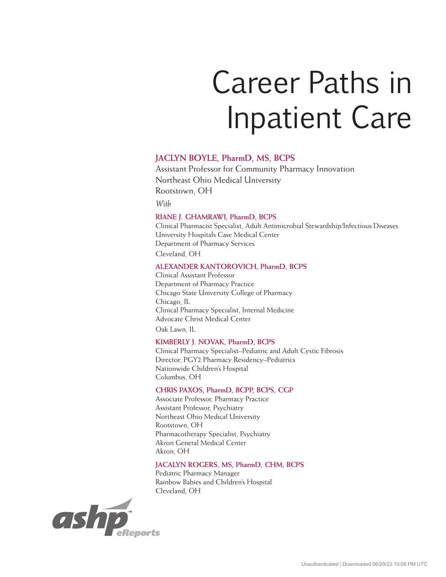## Career Paths in Inpatient Care

#### **JACLYN BOYLE, PharmD, MS, BCPS**

Assistant Professor for Community Pharmacy Innovation Northeast Ohio Medical University Rootstown, OH

*With*

#### **RIANE J. GHAMRAWI, PharmD, BCPS**

Clinical Pharmacist Specialist, Adult Antimicrobial Stewardship/Infectious Diseases University Hospitals Case Medical Center Department of Pharmacy Services Cleveland, OH

#### **ALEXANDER KANTOROVICH, PharmD, BCPS**

Clinical Assistant Professor Department of Pharmacy Practice Chicago State University College of Pharmacy Chicago, IL Clinical Pharmacy Specialist, Internal Medicine Advocate Christ Medical Center Oak Lawn, IL

#### **KIMBERLY J. NOVAK, PharmD, BCPS**

Clinical Pharmacy Specialist–Pediatric and Adult Cystic Fibrosis Director, PGY2 Pharmacy Residency–Pediatrics Nationwide Children's Hospital Columbus, OH

#### **CHRIS PAXOS, PharmD, BCPP, BCPS, CGP**

Associate Professor, Pharmacy Practice Assistant Professor, Psychiatry Northeast Ohio Medical University Rootstown, OH Pharmacotherapy Specialist, Psychiatry Akron General Medical Center Akron, OH

#### **JACALYN ROGERS, MS, PharmD, CHM, BCPS**

Pediatric Pharmacy Manager Rainbow Babies and Children's Hospital Cleveland, OH

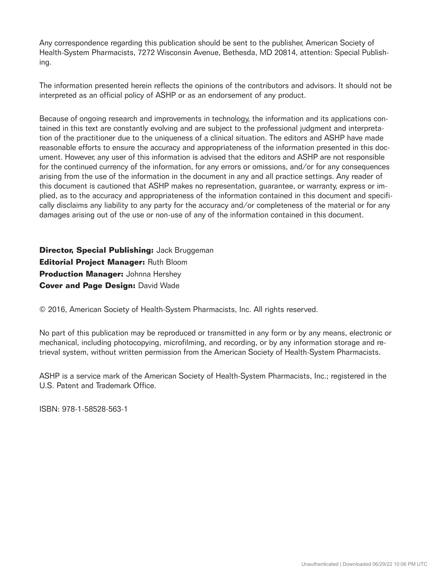Any correspondence regarding this publication should be sent to the publisher, American Society of Health-System Pharmacists, 7272 Wisconsin Avenue, Bethesda, MD 20814, attention: Special Publishing.

The information presented herein reflects the opinions of the contributors and advisors. It should not be interpreted as an official policy of ASHP or as an endorsement of any product.

Because of ongoing research and improvements in technology, the information and its applications contained in this text are constantly evolving and are subject to the professional judgment and interpretation of the practitioner due to the uniqueness of a clinical situation. The editors and ASHP have made reasonable efforts to ensure the accuracy and appropriateness of the information presented in this document. However, any user of this information is advised that the editors and ASHP are not responsible for the continued currency of the information, for any errors or omissions, and/or for any consequences arising from the use of the information in the document in any and all practice settings. Any reader of this document is cautioned that ASHP makes no representation, guarantee, or warranty, express or implied, as to the accuracy and appropriateness of the information contained in this document and specifically disclaims any liability to any party for the accuracy and/or completeness of the material or for any damages arising out of the use or non-use of any of the information contained in this document.

**Director, Special Publishing:** Jack Bruggeman **Editorial Project Manager:** Ruth Bloom **Production Manager: Johnna Hershey Cover and Page Design: David Wade** 

© 2016, American Society of Health-System Pharmacists, Inc. All rights reserved.

No part of this publication may be reproduced or transmitted in any form or by any means, electronic or mechanical, including photocopying, microfilming, and recording, or by any information storage and retrieval system, without written permission from the American Society of Health-System Pharmacists.

ASHP is a service mark of the American Society of Health-System Pharmacists, Inc.; registered in the U.S. Patent and Trademark Office.

ISBN: 978-1-58528-563-1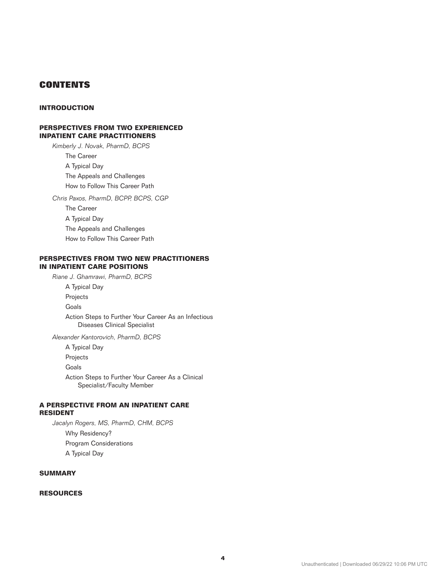#### **CONTENTS**

#### **INTRODUCTION**

#### **[PERSPECTIVES FROM TWO EXPERIENCED](#page-4-0) INPATIENT CARE PRACTITIONERS**

*[Kimberly J. Novak, PharmD, BCPS](#page-4-0)* The Career A Typical Day The Appeals and Challenges How to Follow This Career Path *Chris Paxos, PharmD, BCPP, BCPS, CGP* The Career A Typical Day The Appeals and Challenges

How to Follow This Career Path

#### **PERSPECTIVES FROM TWO NEW PRACTITIONERS IN INPATIENT CARE POSITIONS**

*Riane J. Ghamrawi, PharmD, BCPS* 

A Typical Day

Projects

Goals

 Action Steps to Further Your Career As an Infectious Diseases Clinical Specialist

*Alexander Kantorovich, PharmD, BCPS*

A Typical Day

Projects

Goals

 Action Steps to Further Your Career As a Clinical Specialist/Faculty Member

#### **A PERSPECTIVE FROM AN INPATIENT CARE RESIDENT**

*Jacalyn Rogers, MS, PharmD, CHM, BCPS* Why Residency? Program Considerations A Typical Day

#### **SUMMARY**

#### **RESOURCES**